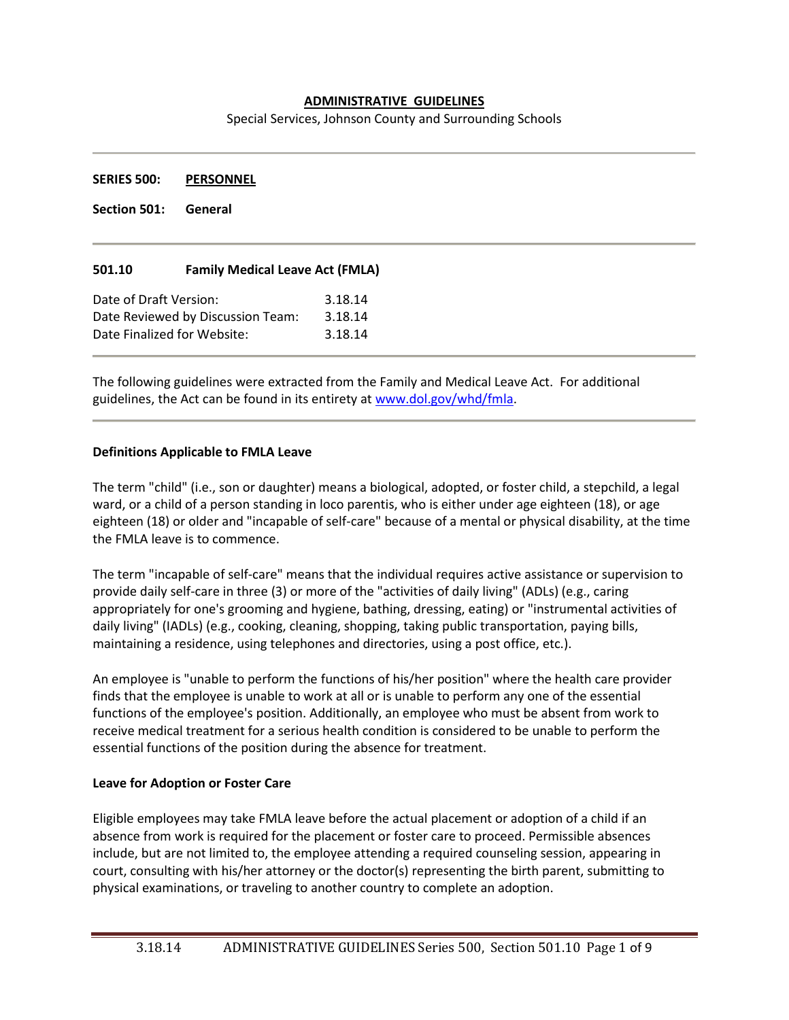### **ADMINISTRATIVE GUIDELINES**

Special Services, Johnson County and Surrounding Schools

**SERIES 500: PERSONNEL**

**Section 501: General**

### **501.10 Family Medical Leave Act (FMLA)**

| Date of Draft Version:            | 3.18.14 |
|-----------------------------------|---------|
| Date Reviewed by Discussion Team: | 3.18.14 |
| Date Finalized for Website:       | 3.18.14 |

The following guidelines were extracted from the Family and Medical Leave Act. For additional guidelines, the Act can be found in its entirety at [www.dol.gov/whd/fmla.](http://www.dol.gov/whd/fmla)

#### **Definitions Applicable to FMLA Leave**

The term "child" (i.e., son or daughter) means a biological, adopted, or foster child, a stepchild, a legal ward, or a child of a person standing in loco parentis, who is either under age eighteen (18), or age eighteen (18) or older and "incapable of self-care" because of a mental or physical disability, at the time the FMLA leave is to commence.

The term "incapable of self-care" means that the individual requires active assistance or supervision to provide daily self-care in three (3) or more of the "activities of daily living" (ADLs) (e.g., caring appropriately for one's grooming and hygiene, bathing, dressing, eating) or "instrumental activities of daily living" (IADLs) (e.g., cooking, cleaning, shopping, taking public transportation, paying bills, maintaining a residence, using telephones and directories, using a post office, etc.).

An employee is "unable to perform the functions of his/her position" where the health care provider finds that the employee is unable to work at all or is unable to perform any one of the essential functions of the employee's position. Additionally, an employee who must be absent from work to receive medical treatment for a serious health condition is considered to be unable to perform the essential functions of the position during the absence for treatment.

### **Leave for Adoption or Foster Care**

Eligible employees may take FMLA leave before the actual placement or adoption of a child if an absence from work is required for the placement or foster care to proceed. Permissible absences include, but are not limited to, the employee attending a required counseling session, appearing in court, consulting with his/her attorney or the doctor(s) representing the birth parent, submitting to physical examinations, or traveling to another country to complete an adoption.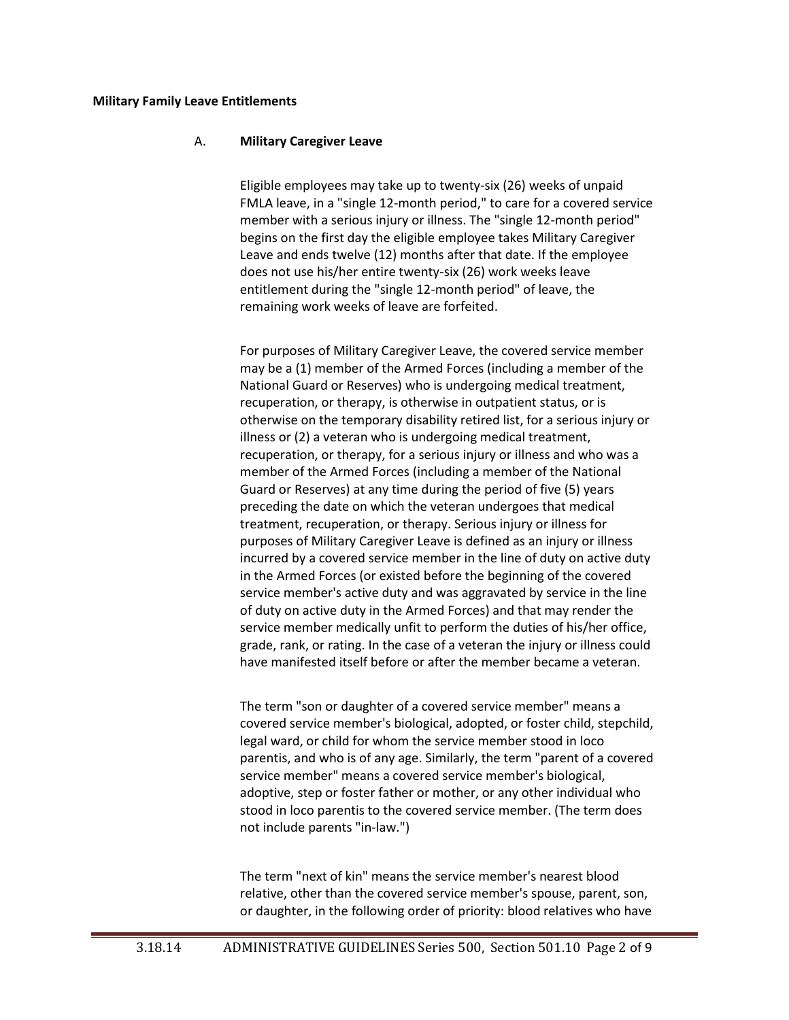#### **Military Family Leave Entitlements**

#### A. **Military Caregiver Leave**

Eligible employees may take up to twenty-six (26) weeks of unpaid FMLA leave, in a "single 12-month period," to care for a covered service member with a serious injury or illness. The "single 12-month period" begins on the first day the eligible employee takes Military Caregiver Leave and ends twelve (12) months after that date. If the employee does not use his/her entire twenty-six (26) work weeks leave entitlement during the "single 12-month period" of leave, the remaining work weeks of leave are forfeited.

For purposes of Military Caregiver Leave, the covered service member may be a (1) member of the Armed Forces (including a member of the National Guard or Reserves) who is undergoing medical treatment, recuperation, or therapy, is otherwise in outpatient status, or is otherwise on the temporary disability retired list, for a serious injury or illness or (2) a veteran who is undergoing medical treatment, recuperation, or therapy, for a serious injury or illness and who was a member of the Armed Forces (including a member of the National Guard or Reserves) at any time during the period of five (5) years preceding the date on which the veteran undergoes that medical treatment, recuperation, or therapy. Serious injury or illness for purposes of Military Caregiver Leave is defined as an injury or illness incurred by a covered service member in the line of duty on active duty in the Armed Forces (or existed before the beginning of the covered service member's active duty and was aggravated by service in the line of duty on active duty in the Armed Forces) and that may render the service member medically unfit to perform the duties of his/her office, grade, rank, or rating. In the case of a veteran the injury or illness could have manifested itself before or after the member became a veteran.

The term "son or daughter of a covered service member" means a covered service member's biological, adopted, or foster child, stepchild, legal ward, or child for whom the service member stood in loco parentis, and who is of any age. Similarly, the term "parent of a covered service member" means a covered service member's biological, adoptive, step or foster father or mother, or any other individual who stood in loco parentis to the covered service member. (The term does not include parents "in-law.")

The term "next of kin" means the service member's nearest blood relative, other than the covered service member's spouse, parent, son, or daughter, in the following order of priority: blood relatives who have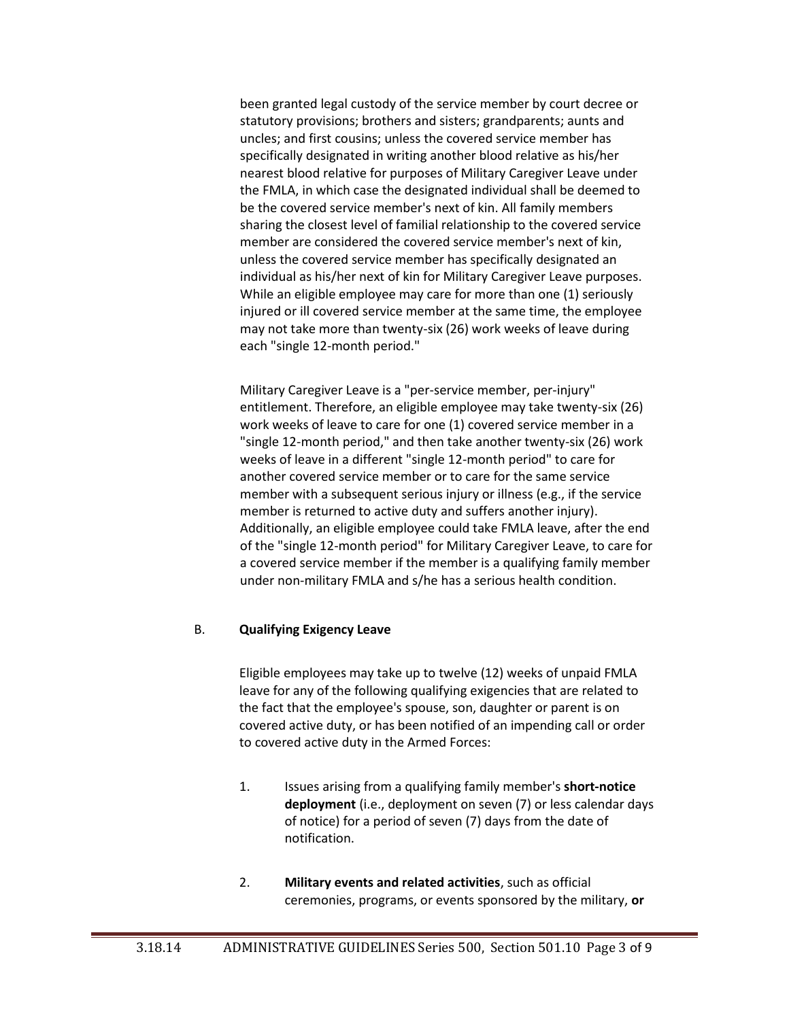been granted legal custody of the service member by court decree or statutory provisions; brothers and sisters; grandparents; aunts and uncles; and first cousins; unless the covered service member has specifically designated in writing another blood relative as his/her nearest blood relative for purposes of Military Caregiver Leave under the FMLA, in which case the designated individual shall be deemed to be the covered service member's next of kin. All family members sharing the closest level of familial relationship to the covered service member are considered the covered service member's next of kin, unless the covered service member has specifically designated an individual as his/her next of kin for Military Caregiver Leave purposes. While an eligible employee may care for more than one (1) seriously injured or ill covered service member at the same time, the employee may not take more than twenty-six (26) work weeks of leave during each "single 12-month period."

Military Caregiver Leave is a "per-service member, per-injury" entitlement. Therefore, an eligible employee may take twenty-six (26) work weeks of leave to care for one (1) covered service member in a "single 12-month period," and then take another twenty-six (26) work weeks of leave in a different "single 12-month period" to care for another covered service member or to care for the same service member with a subsequent serious injury or illness (e.g., if the service member is returned to active duty and suffers another injury). Additionally, an eligible employee could take FMLA leave, after the end of the "single 12-month period" for Military Caregiver Leave, to care for a covered service member if the member is a qualifying family member under non-military FMLA and s/he has a serious health condition.

### B. **Qualifying Exigency Leave**

Eligible employees may take up to twelve (12) weeks of unpaid FMLA leave for any of the following qualifying exigencies that are related to the fact that the employee's spouse, son, daughter or parent is on covered active duty, or has been notified of an impending call or order to covered active duty in the Armed Forces:

- 1. Issues arising from a qualifying family member's **short-notice deployment** (i.e., deployment on seven (7) or less calendar days of notice) for a period of seven (7) days from the date of notification.
- 2. **Military events and related activities**, such as official ceremonies, programs, or events sponsored by the military, **or**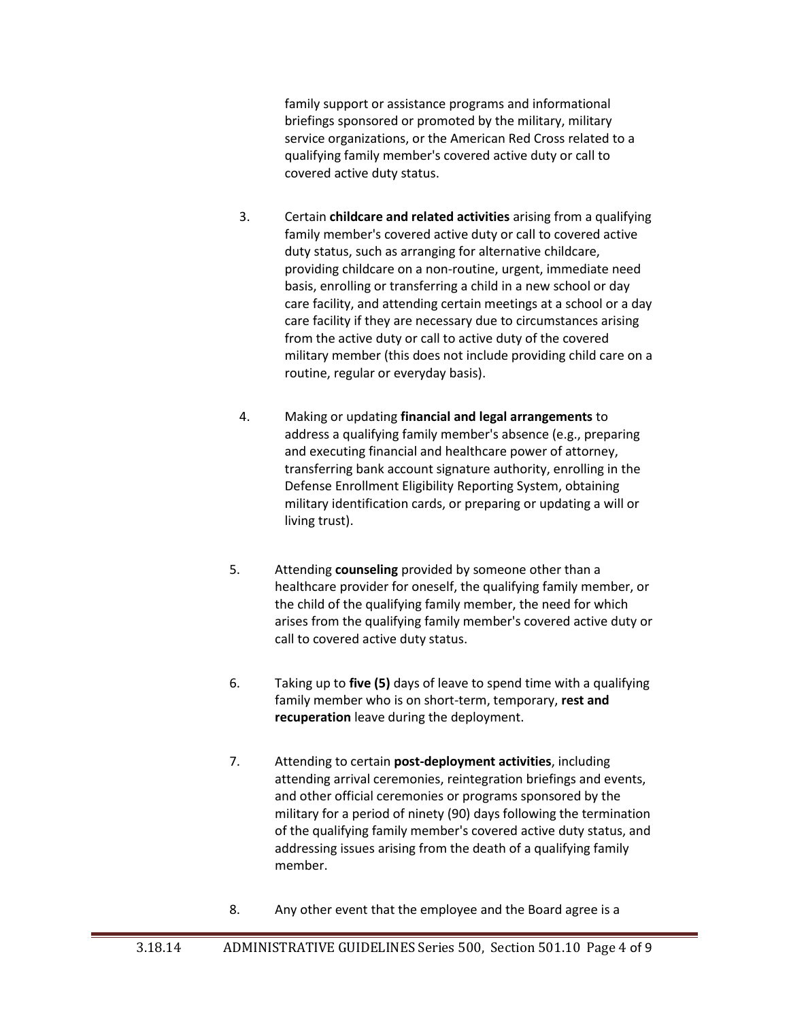family support or assistance programs and informational briefings sponsored or promoted by the military, military service organizations, or the American Red Cross related to a qualifying family member's covered active duty or call to covered active duty status.

- 3. Certain **childcare and related activities** arising from a qualifying family member's covered active duty or call to covered active duty status, such as arranging for alternative childcare, providing childcare on a non-routine, urgent, immediate need basis, enrolling or transferring a child in a new school or day care facility, and attending certain meetings at a school or a day care facility if they are necessary due to circumstances arising from the active duty or call to active duty of the covered military member (this does not include providing child care on a routine, regular or everyday basis).
- 4. Making or updating **financial and legal arrangements** to address a qualifying family member's absence (e.g., preparing and executing financial and healthcare power of attorney, transferring bank account signature authority, enrolling in the Defense Enrollment Eligibility Reporting System, obtaining military identification cards, or preparing or updating a will or living trust).
- 5. Attending **counseling** provided by someone other than a healthcare provider for oneself, the qualifying family member, or the child of the qualifying family member, the need for which arises from the qualifying family member's covered active duty or call to covered active duty status.
- 6. Taking up to **five (5)** days of leave to spend time with a qualifying family member who is on short-term, temporary, **rest and recuperation** leave during the deployment.
- 7. Attending to certain **post-deployment activities**, including attending arrival ceremonies, reintegration briefings and events, and other official ceremonies or programs sponsored by the military for a period of ninety (90) days following the termination of the qualifying family member's covered active duty status, and addressing issues arising from the death of a qualifying family member.
- 8. Any other event that the employee and the Board agree is a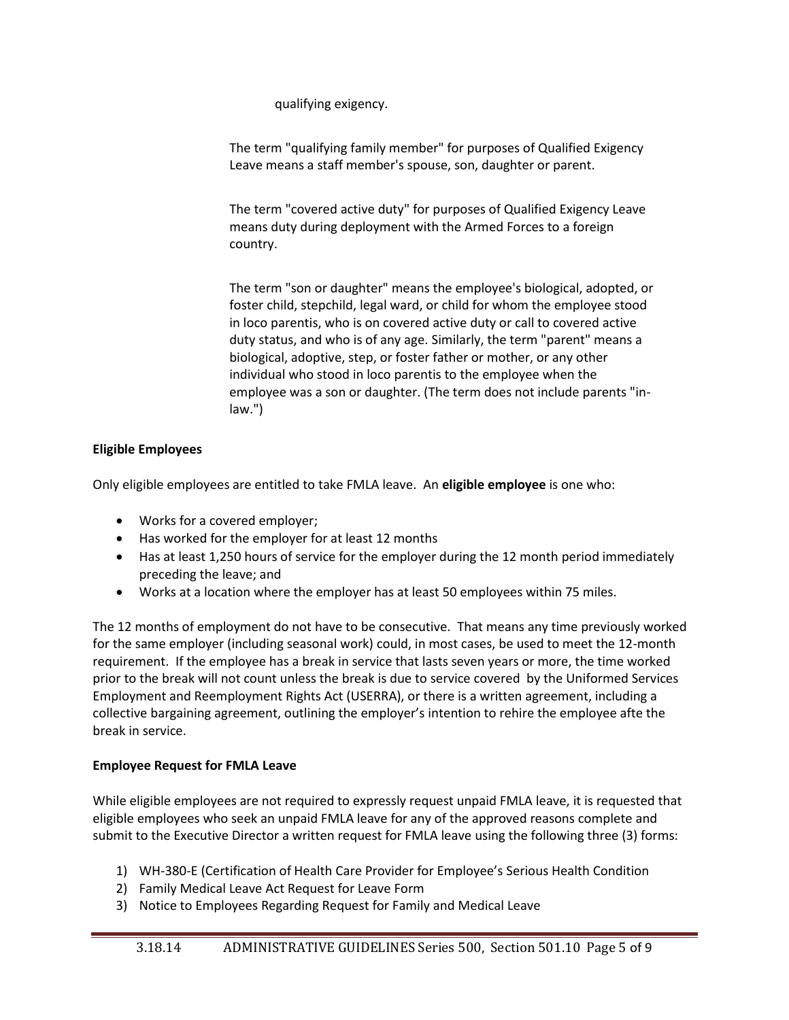qualifying exigency.

The term "qualifying family member" for purposes of Qualified Exigency Leave means a staff member's spouse, son, daughter or parent.

The term "covered active duty" for purposes of Qualified Exigency Leave means duty during deployment with the Armed Forces to a foreign country.

The term "son or daughter" means the employee's biological, adopted, or foster child, stepchild, legal ward, or child for whom the employee stood in loco parentis, who is on covered active duty or call to covered active duty status, and who is of any age. Similarly, the term "parent" means a biological, adoptive, step, or foster father or mother, or any other individual who stood in loco parentis to the employee when the employee was a son or daughter. (The term does not include parents "inlaw.")

## **Eligible Employees**

Only eligible employees are entitled to take FMLA leave. An **eligible employee** is one who:

- Works for a covered employer;
- Has worked for the employer for at least 12 months
- Has at least 1,250 hours of service for the employer during the 12 month period immediately preceding the leave; and
- Works at a location where the employer has at least 50 employees within 75 miles.

The 12 months of employment do not have to be consecutive. That means any time previously worked for the same employer (including seasonal work) could, in most cases, be used to meet the 12-month requirement. If the employee has a break in service that lasts seven years or more, the time worked prior to the break will not count unless the break is due to service covered by the Uniformed Services Employment and Reemployment Rights Act (USERRA), or there is a written agreement, including a collective bargaining agreement, outlining the employer's intention to rehire the employee afte the break in service.

## **Employee Request for FMLA Leave**

While eligible employees are not required to expressly request unpaid FMLA leave, it is requested that eligible employees who seek an unpaid FMLA leave for any of the approved reasons complete and submit to the Executive Director a written request for FMLA leave using the following three (3) forms:

- 1) WH-380-E (Certification of Health Care Provider for Employee's Serious Health Condition
- 2) Family Medical Leave Act Request for Leave Form
- 3) Notice to Employees Regarding Request for Family and Medical Leave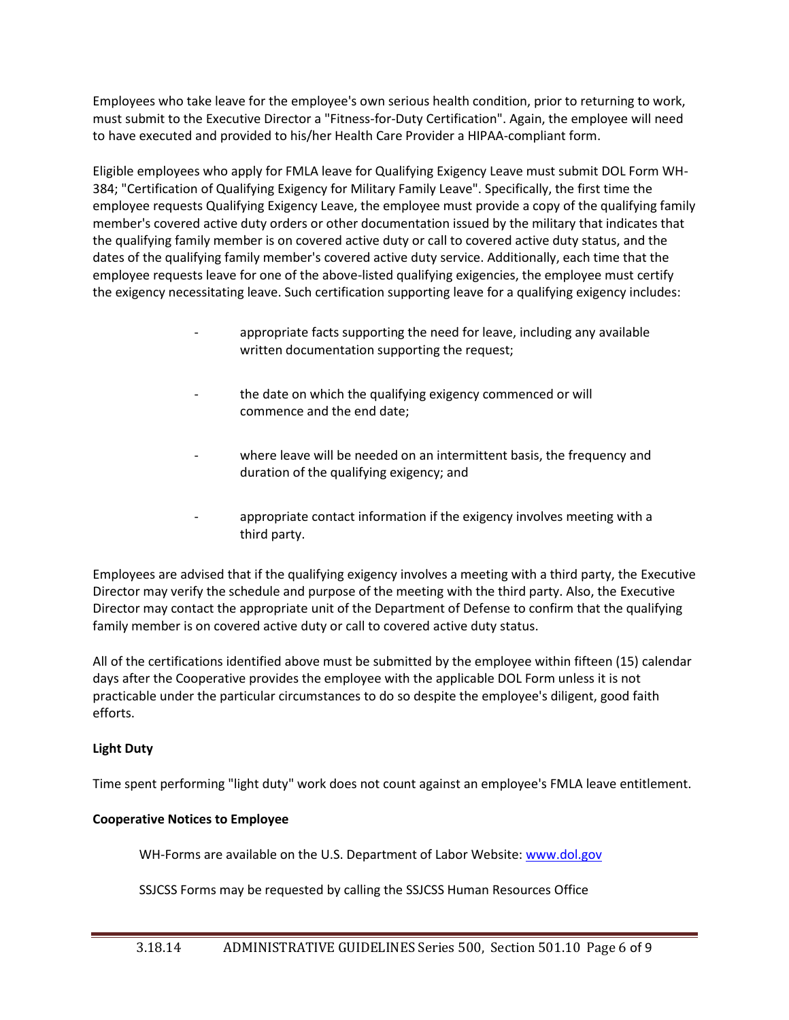Employees who take leave for the employee's own serious health condition, prior to returning to work, must submit to the Executive Director a "Fitness-for-Duty Certification". Again, the employee will need to have executed and provided to his/her Health Care Provider a HIPAA-compliant form.

Eligible employees who apply for FMLA leave for Qualifying Exigency Leave must submit DOL Form WH-384; "Certification of Qualifying Exigency for Military Family Leave". Specifically, the first time the employee requests Qualifying Exigency Leave, the employee must provide a copy of the qualifying family member's covered active duty orders or other documentation issued by the military that indicates that the qualifying family member is on covered active duty or call to covered active duty status, and the dates of the qualifying family member's covered active duty service. Additionally, each time that the employee requests leave for one of the above-listed qualifying exigencies, the employee must certify the exigency necessitating leave. Such certification supporting leave for a qualifying exigency includes:

- appropriate facts supporting the need for leave, including any available written documentation supporting the request;
- the date on which the qualifying exigency commenced or will commence and the end date;
- where leave will be needed on an intermittent basis, the frequency and duration of the qualifying exigency; and
- appropriate contact information if the exigency involves meeting with a third party.

Employees are advised that if the qualifying exigency involves a meeting with a third party, the Executive Director may verify the schedule and purpose of the meeting with the third party. Also, the Executive Director may contact the appropriate unit of the Department of Defense to confirm that the qualifying family member is on covered active duty or call to covered active duty status.

All of the certifications identified above must be submitted by the employee within fifteen (15) calendar days after the Cooperative provides the employee with the applicable DOL Form unless it is not practicable under the particular circumstances to do so despite the employee's diligent, good faith efforts.

## **Light Duty**

Time spent performing "light duty" work does not count against an employee's FMLA leave entitlement.

## **Cooperative Notices to Employee**

WH-Forms are available on the U.S. Department of Labor Website: [www.dol.gov](http://www.dol.gov/)

SSJCSS Forms may be requested by calling the SSJCSS Human Resources Office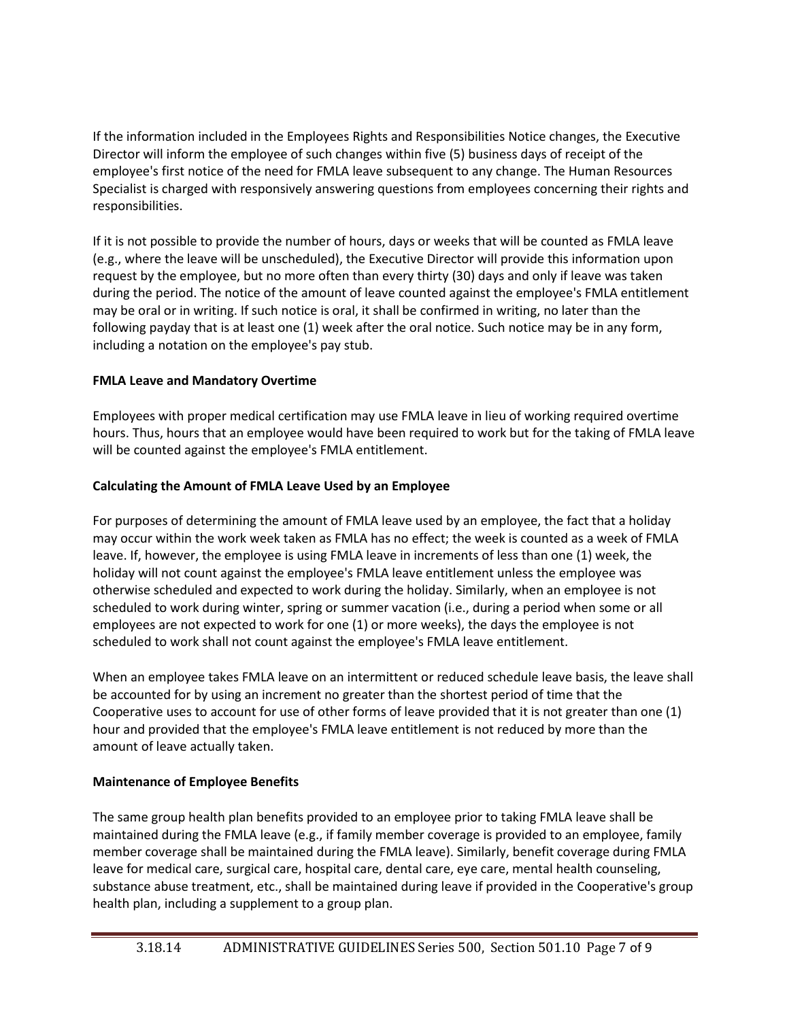If the information included in the Employees Rights and Responsibilities Notice changes, the Executive Director will inform the employee of such changes within five (5) business days of receipt of the employee's first notice of the need for FMLA leave subsequent to any change. The Human Resources Specialist is charged with responsively answering questions from employees concerning their rights and responsibilities.

If it is not possible to provide the number of hours, days or weeks that will be counted as FMLA leave (e.g., where the leave will be unscheduled), the Executive Director will provide this information upon request by the employee, but no more often than every thirty (30) days and only if leave was taken during the period. The notice of the amount of leave counted against the employee's FMLA entitlement may be oral or in writing. If such notice is oral, it shall be confirmed in writing, no later than the following payday that is at least one (1) week after the oral notice. Such notice may be in any form, including a notation on the employee's pay stub.

# **FMLA Leave and Mandatory Overtime**

Employees with proper medical certification may use FMLA leave in lieu of working required overtime hours. Thus, hours that an employee would have been required to work but for the taking of FMLA leave will be counted against the employee's FMLA entitlement.

# **Calculating the Amount of FMLA Leave Used by an Employee**

For purposes of determining the amount of FMLA leave used by an employee, the fact that a holiday may occur within the work week taken as FMLA has no effect; the week is counted as a week of FMLA leave. If, however, the employee is using FMLA leave in increments of less than one (1) week, the holiday will not count against the employee's FMLA leave entitlement unless the employee was otherwise scheduled and expected to work during the holiday. Similarly, when an employee is not scheduled to work during winter, spring or summer vacation (i.e., during a period when some or all employees are not expected to work for one (1) or more weeks), the days the employee is not scheduled to work shall not count against the employee's FMLA leave entitlement.

When an employee takes FMLA leave on an intermittent or reduced schedule leave basis, the leave shall be accounted for by using an increment no greater than the shortest period of time that the Cooperative uses to account for use of other forms of leave provided that it is not greater than one (1) hour and provided that the employee's FMLA leave entitlement is not reduced by more than the amount of leave actually taken.

# **Maintenance of Employee Benefits**

The same group health plan benefits provided to an employee prior to taking FMLA leave shall be maintained during the FMLA leave (e.g., if family member coverage is provided to an employee, family member coverage shall be maintained during the FMLA leave). Similarly, benefit coverage during FMLA leave for medical care, surgical care, hospital care, dental care, eye care, mental health counseling, substance abuse treatment, etc., shall be maintained during leave if provided in the Cooperative's group health plan, including a supplement to a group plan.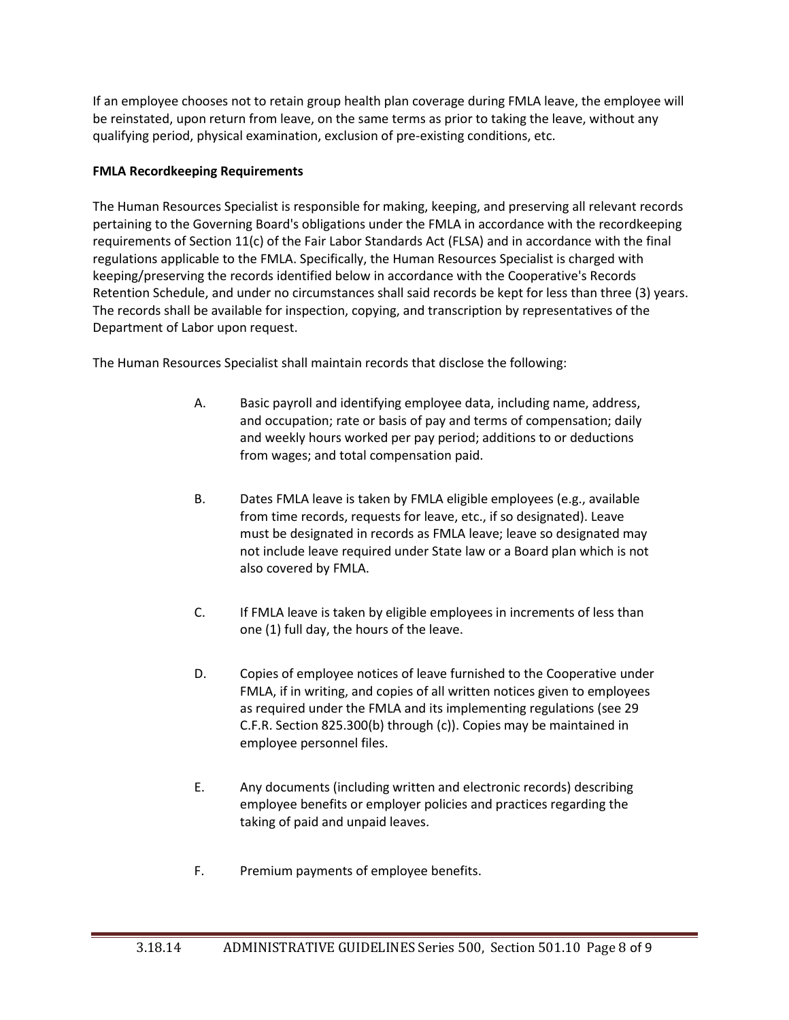If an employee chooses not to retain group health plan coverage during FMLA leave, the employee will be reinstated, upon return from leave, on the same terms as prior to taking the leave, without any qualifying period, physical examination, exclusion of pre-existing conditions, etc.

## **FMLA Recordkeeping Requirements**

The Human Resources Specialist is responsible for making, keeping, and preserving all relevant records pertaining to the Governing Board's obligations under the FMLA in accordance with the recordkeeping requirements of Section 11(c) of the Fair Labor Standards Act (FLSA) and in accordance with the final regulations applicable to the FMLA. Specifically, the Human Resources Specialist is charged with keeping/preserving the records identified below in accordance with the Cooperative's Records Retention Schedule, and under no circumstances shall said records be kept for less than three (3) years. The records shall be available for inspection, copying, and transcription by representatives of the Department of Labor upon request.

The Human Resources Specialist shall maintain records that disclose the following:

- A. Basic payroll and identifying employee data, including name, address, and occupation; rate or basis of pay and terms of compensation; daily and weekly hours worked per pay period; additions to or deductions from wages; and total compensation paid.
- B. Dates FMLA leave is taken by FMLA eligible employees (e.g., available from time records, requests for leave, etc., if so designated). Leave must be designated in records as FMLA leave; leave so designated may not include leave required under State law or a Board plan which is not also covered by FMLA.
- C. If FMLA leave is taken by eligible employees in increments of less than one (1) full day, the hours of the leave.
- D. Copies of employee notices of leave furnished to the Cooperative under FMLA, if in writing, and copies of all written notices given to employees as required under the FMLA and its implementing regulations (see 29 C.F.R. Section 825.300(b) through (c)). Copies may be maintained in employee personnel files.
- E. Any documents (including written and electronic records) describing employee benefits or employer policies and practices regarding the taking of paid and unpaid leaves.
- F. Premium payments of employee benefits.